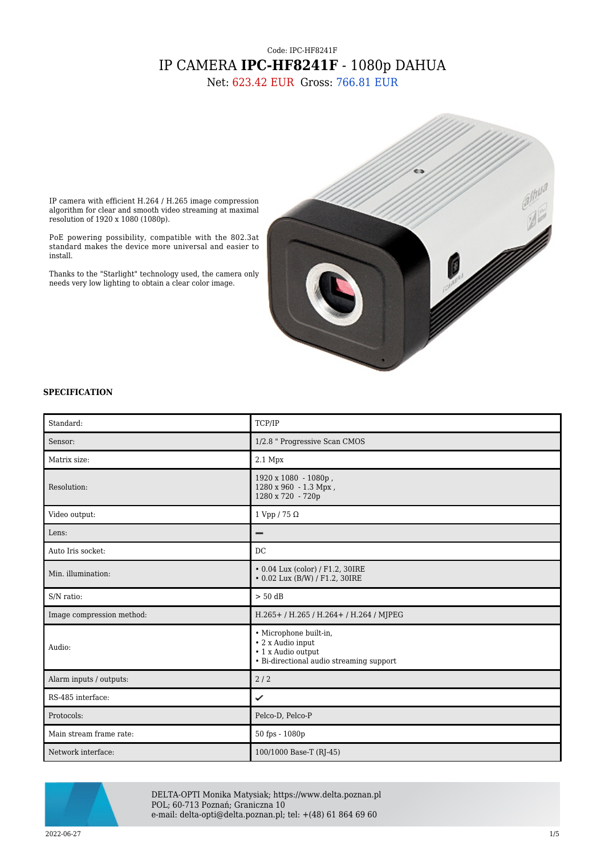# Code: IPC-HF8241F IP CAMERA **IPC-HF8241F** - 1080p DAHUA

Net: 623.42 EUR Gross: 766.81 EUR



IP camera with efficient H.264 / H.265 image compression algorithm for clear and smooth video streaming at maximal resolution of 1920 x 1080 (1080p).

PoE powering possibility, compatible with the 802.3at standard makes the device more universal and easier to install.

Thanks to the "Starlight" technology used, the camera only needs very low lighting to obtain a clear color image.

## **SPECIFICATION**

| Standard:                 | TCP/IP                                                                                                        |
|---------------------------|---------------------------------------------------------------------------------------------------------------|
| Sensor:                   | 1/2.8 " Progressive Scan CMOS                                                                                 |
| Matrix size:              | $2.1$ Mpx                                                                                                     |
| Resolution:               | 1920 x 1080 - 1080p,<br>1280 x 960 - 1.3 Mpx,<br>1280 x 720 - 720p                                            |
| Video output:             | 1 Vpp / 75 $\Omega$                                                                                           |
| Lens:                     | -                                                                                                             |
| Auto Iris socket:         | DC                                                                                                            |
| Min. illumination:        | • 0.04 Lux (color) / F1.2, 30IRE<br>• 0.02 Lux (B/W) / F1.2, 30IRE                                            |
| S/N ratio:                | $> 50$ dB                                                                                                     |
| Image compression method: | H.265+/H.265/H.264+/H.264/MJPEG                                                                               |
| Audio:                    | · Microphone built-in,<br>• 2 x Audio input<br>• 1 x Audio output<br>• Bi-directional audio streaming support |
| Alarm inputs / outputs:   | 2/2                                                                                                           |
| RS-485 interface:         | ✓                                                                                                             |
| Protocols:                | Pelco-D, Pelco-P                                                                                              |
| Main stream frame rate:   | 50 fps - 1080p                                                                                                |
| Network interface:        | 100/1000 Base-T (RJ-45)                                                                                       |



DELTA-OPTI Monika Matysiak; https://www.delta.poznan.pl POL; 60-713 Poznań; Graniczna 10 e-mail: delta-opti@delta.poznan.pl; tel: +(48) 61 864 69 60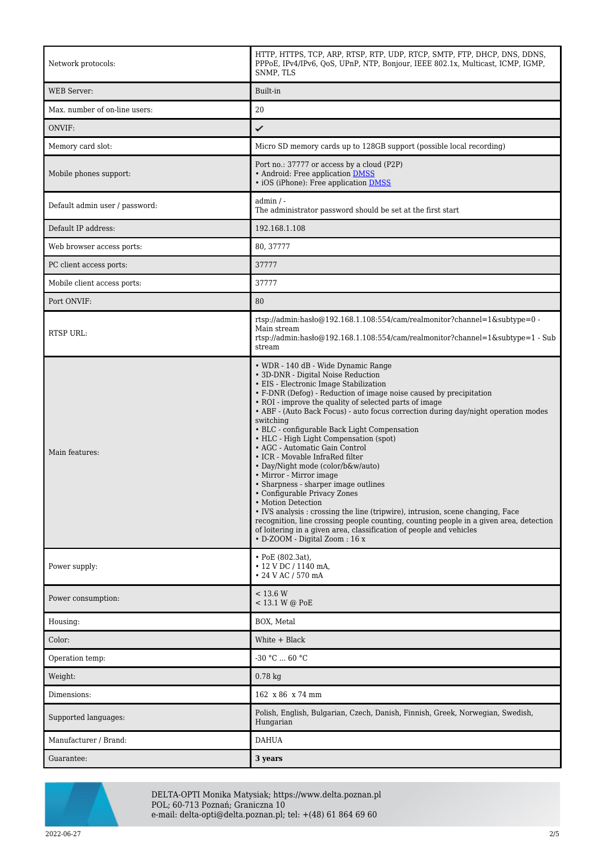| Network protocols:             | HTTP, HTTPS, TCP, ARP, RTSP, RTP, UDP, RTCP, SMTP, FTP, DHCP, DNS, DDNS,<br>PPPoE, IPv4/IPv6, OoS, UPnP, NTP, Bonjour, IEEE 802.1x, Multicast, ICMP, IGMP,<br>SNMP, TLS                                                                                                                                                                                                                                                                                                                                                                                                                                                                                                                                                                                                                                                                                                                                                                                                 |
|--------------------------------|-------------------------------------------------------------------------------------------------------------------------------------------------------------------------------------------------------------------------------------------------------------------------------------------------------------------------------------------------------------------------------------------------------------------------------------------------------------------------------------------------------------------------------------------------------------------------------------------------------------------------------------------------------------------------------------------------------------------------------------------------------------------------------------------------------------------------------------------------------------------------------------------------------------------------------------------------------------------------|
| <b>WEB</b> Server:             | Built-in                                                                                                                                                                                                                                                                                                                                                                                                                                                                                                                                                                                                                                                                                                                                                                                                                                                                                                                                                                |
| Max. number of on-line users:  | 20                                                                                                                                                                                                                                                                                                                                                                                                                                                                                                                                                                                                                                                                                                                                                                                                                                                                                                                                                                      |
| ONVIF:                         | ✓                                                                                                                                                                                                                                                                                                                                                                                                                                                                                                                                                                                                                                                                                                                                                                                                                                                                                                                                                                       |
| Memory card slot:              | Micro SD memory cards up to 128GB support (possible local recording)                                                                                                                                                                                                                                                                                                                                                                                                                                                                                                                                                                                                                                                                                                                                                                                                                                                                                                    |
| Mobile phones support:         | Port no.: 37777 or access by a cloud (P2P)<br>• Android: Free application DMSS<br>• iOS (iPhone): Free application DMSS                                                                                                                                                                                                                                                                                                                                                                                                                                                                                                                                                                                                                                                                                                                                                                                                                                                 |
| Default admin user / password: | $admin / -$<br>The administrator password should be set at the first start                                                                                                                                                                                                                                                                                                                                                                                                                                                                                                                                                                                                                                                                                                                                                                                                                                                                                              |
| Default IP address:            | 192.168.1.108                                                                                                                                                                                                                                                                                                                                                                                                                                                                                                                                                                                                                                                                                                                                                                                                                                                                                                                                                           |
| Web browser access ports:      | 80, 37777                                                                                                                                                                                                                                                                                                                                                                                                                                                                                                                                                                                                                                                                                                                                                                                                                                                                                                                                                               |
| PC client access ports:        | 37777                                                                                                                                                                                                                                                                                                                                                                                                                                                                                                                                                                                                                                                                                                                                                                                                                                                                                                                                                                   |
| Mobile client access ports:    | 37777                                                                                                                                                                                                                                                                                                                                                                                                                                                                                                                                                                                                                                                                                                                                                                                                                                                                                                                                                                   |
| Port ONVIF:                    | 80                                                                                                                                                                                                                                                                                                                                                                                                                                                                                                                                                                                                                                                                                                                                                                                                                                                                                                                                                                      |
| <b>RTSP URL:</b>               | rtsp://admin.hasho@192.168.1.108:554/cam/realmonitor?channel=1&subtype=0 -<br>Main stream<br>rtsp://admin.hasho $@192.168.1.108.554$ /cam/realmonitor?channel=1&subtype=1 - Sub<br>stream                                                                                                                                                                                                                                                                                                                                                                                                                                                                                                                                                                                                                                                                                                                                                                               |
| Main features:                 | • WDR - 140 dB - Wide Dynamic Range<br>• 3D-DNR - Digital Noise Reduction<br>• EIS - Electronic Image Stabilization<br>• F-DNR (Defog) - Reduction of image noise caused by precipitation<br>• ROI - improve the quality of selected parts of image<br>• ABF - (Auto Back Focus) - auto focus correction during day/night operation modes<br>switching<br>• BLC - configurable Back Light Compensation<br>• HLC - High Light Compensation (spot)<br>• AGC - Automatic Gain Control<br>• ICR - Movable InfraRed filter<br>• Day/Night mode (color/b&w/auto)<br>• Mirror - Mirror image<br>• Sharpness - sharper image outlines<br>• Configurable Privacy Zones<br>• Motion Detection<br>• IVS analysis : crossing the line (tripwire), intrusion, scene changing, Face<br>recognition, line crossing people counting, counting people in a given area, detection<br>of loitering in a given area, classification of people and vehicles<br>• D-ZOOM - Digital Zoom: 16 x |
| Power supply:                  | • PoE (802.3at),<br>$\cdot$ 12 V DC / 1140 mA,<br>• 24 V AC / 570 mA                                                                                                                                                                                                                                                                                                                                                                                                                                                                                                                                                                                                                                                                                                                                                                                                                                                                                                    |
| Power consumption:             | < 13.6 W<br>< 13.1 W @ PoE                                                                                                                                                                                                                                                                                                                                                                                                                                                                                                                                                                                                                                                                                                                                                                                                                                                                                                                                              |
| Housing:                       | BOX, Metal                                                                                                                                                                                                                                                                                                                                                                                                                                                                                                                                                                                                                                                                                                                                                                                                                                                                                                                                                              |
| Color:                         | White + Black                                                                                                                                                                                                                                                                                                                                                                                                                                                                                                                                                                                                                                                                                                                                                                                                                                                                                                                                                           |
| Operation temp:                | -30 °C  60 °C                                                                                                                                                                                                                                                                                                                                                                                                                                                                                                                                                                                                                                                                                                                                                                                                                                                                                                                                                           |
| Weight:                        | $0.78$ kg                                                                                                                                                                                                                                                                                                                                                                                                                                                                                                                                                                                                                                                                                                                                                                                                                                                                                                                                                               |
| Dimensions:                    | 162 x 86 x 74 mm                                                                                                                                                                                                                                                                                                                                                                                                                                                                                                                                                                                                                                                                                                                                                                                                                                                                                                                                                        |
| Supported languages:           | Polish, English, Bulgarian, Czech, Danish, Finnish, Greek, Norwegian, Swedish,<br>Hungarian                                                                                                                                                                                                                                                                                                                                                                                                                                                                                                                                                                                                                                                                                                                                                                                                                                                                             |
| Manufacturer / Brand:          | <b>DAHUA</b>                                                                                                                                                                                                                                                                                                                                                                                                                                                                                                                                                                                                                                                                                                                                                                                                                                                                                                                                                            |
| Guarantee:                     | 3 years                                                                                                                                                                                                                                                                                                                                                                                                                                                                                                                                                                                                                                                                                                                                                                                                                                                                                                                                                                 |



DELTA-OPTI Monika Matysiak; https://www.delta.poznan.pl POL; 60-713 Poznań; Graniczna 10 e-mail: delta-opti@delta.poznan.pl; tel: +(48) 61 864 69 60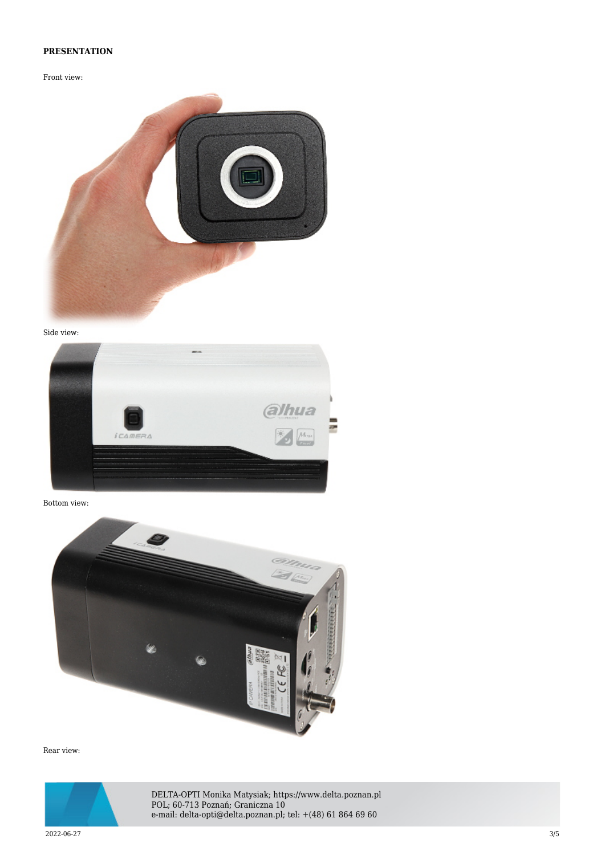## **PRESENTATION**

Front view:



Side view:



Bottom view:



Rear view:



DELTA-OPTI Monika Matysiak; https://www.delta.poznan.pl POL; 60-713 Poznań; Graniczna 10 e-mail: delta-opti@delta.poznan.pl; tel: +(48) 61 864 69 60

2022-06-27 3/5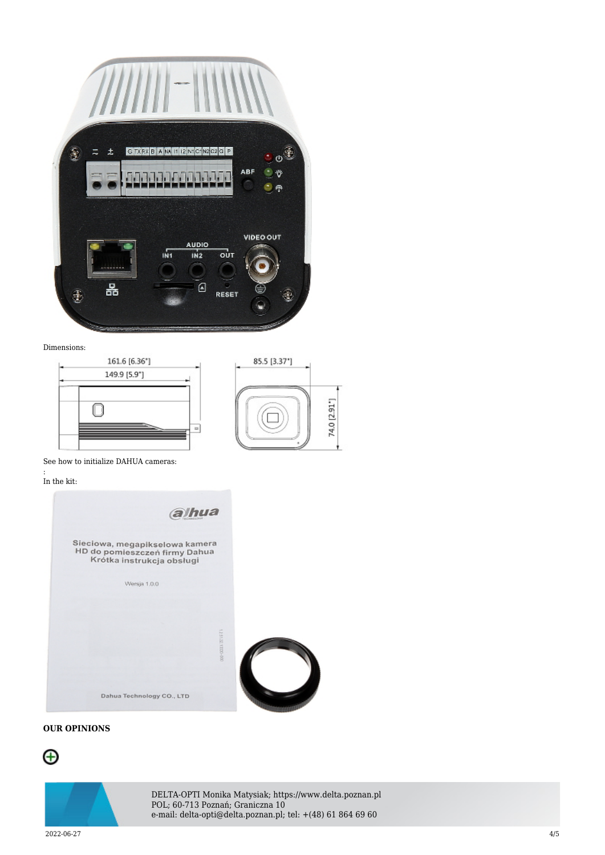

### Dimensions:



See how to initialize DAHUA cameras:

#### : In the kit:



## **OUR OPINIONS**





DELTA-OPTI Monika Matysiak; https://www.delta.poznan.pl POL; 60-713 Poznań; Graniczna 10 e-mail: delta-opti@delta.poznan.pl; tel: +(48) 61 864 69 60

2022-06-27 4/5